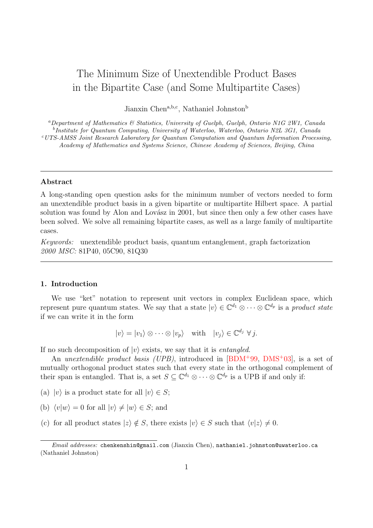# The Minimum Size of Unextendible Product Bases in the Bipartite Case (and Some Multipartite Cases)

Jianxin Chen<sup>a,b,c</sup>, Nathaniel Johnston<sup>b</sup>

<sup>a</sup>Department of Mathematics & Statistics, University of Guelph, Guelph, Ontario N1G 2W1, Canada <sup>b</sup>Institute for Quantum Computing, University of Waterloo, Waterloo, Ontario N2L 3G1, Canada <sup>c</sup>UTS-AMSS Joint Research Laboratory for Quantum Computation and Quantum Information Processing, Academy of Mathematics and Systems Science, Chinese Academy of Sciences, Beijing, China

## Abstract

A long-standing open question asks for the minimum number of vectors needed to form an unextendible product basis in a given bipartite or multipartite Hilbert space. A partial solution was found by Alon and Lovász in 2001, but since then only a few other cases have been solved. We solve all remaining bipartite cases, as well as a large family of multipartite cases.

Keywords: unextendible product basis, quantum entanglement, graph factorization 2000 MSC: 81P40, 05C90, 81Q30

# 1. Introduction

We use "ket" notation to represent unit vectors in complex Euclidean space, which represent pure quantum states. We say that a state  $|v\rangle \in \mathbb{C}^{d_1} \otimes \cdots \otimes \mathbb{C}^{d_p}$  is a product state if we can write it in the form

$$
|v\rangle = |v_1\rangle \otimes \cdots \otimes |v_p\rangle \quad \text{with} \quad |v_j\rangle \in \mathbb{C}^{d_j} \forall j.
$$

If no such decomposition of  $|v\rangle$  exists, we say that it is *entangled*.

An unextendible product basis (UPB), introduced in  $[BDM^+99, DMS^+03]$  $[BDM^+99, DMS^+03]$  $[BDM^+99, DMS^+03]$  $[BDM^+99, DMS^+03]$ , is a set of mutually orthogonal product states such that every state in the orthogonal complement of their span is entangled. That is, a set  $S \subseteq \mathbb{C}^{d_1} \otimes \cdots \otimes \mathbb{C}^{d_p}$  is a UPB if and only if:

- (a)  $|v\rangle$  is a product state for all  $|v\rangle \in S$ ;
- (b)  $\langle v|w \rangle = 0$  for all  $|v \rangle \neq |w \rangle \in S$ ; and
- (c) for all product states  $|z\rangle \notin S$ , there exists  $|v\rangle \in S$  such that  $\langle v|z\rangle \neq 0$ .

Email addresses: chenkenshin@gmail.com (Jianxin Chen), nathaniel.johnston@uwaterloo.ca (Nathaniel Johnston)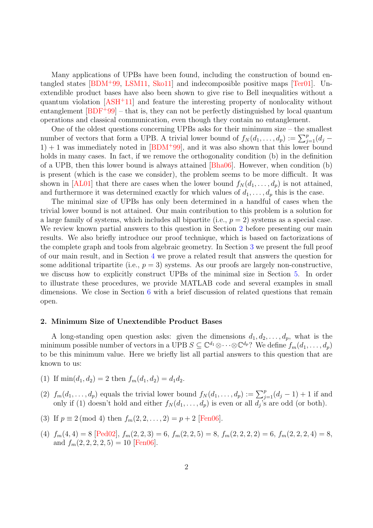Many applications of UPBs have been found, including the construction of bound entangled states [\[BDM](#page-15-0)<sup>+</sup>99, [LSM11,](#page-15-2) [Sko11\]](#page-16-0) and indecomposible positive maps [\[Ter01\]](#page-16-1). Unextendible product bases have also been shown to give rise to Bell inequalities without a quantum violation  $[ASH^+11]$  $[ASH^+11]$  and feature the interesting property of nonlocality without entanglement  $[BDF+99]$  $[BDF+99]$  – that is, they can not be perfectly distinguished by local quantum operations and classical communication, even though they contain no entanglement.

One of the oldest questions concerning UPBs asks for their minimum size – the smallest number of vectors that form a UPB. A trivial lower bound of  $f_N(d_1, \ldots, d_p) := \sum_{j=1}^p (d_j 1) + 1$  was immediately noted in [\[BDM](#page-15-0)<sup>+99]</sup>, and it was also shown that this lower bound holds in many cases. In fact, if we remove the orthogonality condition (b) in the definition of a UPB, then this lower bound is always attained [\[Bha06\]](#page-15-5). However, when condition (b) is present (which is the case we consider), the problem seems to be more difficult. It was shown in [\[AL01\]](#page-15-6) that there are cases when the lower bound  $f_N(d_1, \ldots, d_p)$  is not attained, and furthermore it was determined exactly for which values of  $d_1, \ldots, d_p$  this is the case.

The minimal size of UPBs has only been determined in a handful of cases when the trivial lower bound is not attained. Our main contribution to this problem is a solution for a large family of systems, which includes all bipartite (i.e.,  $p = 2$ ) systems as a special case. We review known partial answers to this question in Section [2](#page-1-0) before presenting our main results. We also briefly introduce our proof technique, which is based on factorizations of the complete graph and tools from algebraic geometry. In Section [3](#page-4-0) we present the full proof of our main result, and in Section [4](#page-9-0) we prove a related result that answers the question for some additional tripartite (i.e.,  $p = 3$ ) systems. As our proofs are largely non-constructive, we discuss how to explicitly construct UPBs of the minimal size in Section [5.](#page-11-0) In order to illustrate these procedures, we provide MATLAB code and several examples in small dimensions. We close in Section [6](#page-14-0) with a brief discussion of related questions that remain open.

#### <span id="page-1-0"></span>2. Minimum Size of Unextendible Product Bases

A long-standing open question asks: given the dimensions  $d_1, d_2, \ldots, d_p$ , what is the minimum possible number of vectors in a UPB  $S \subseteq \mathbb{C}^{d_1} \otimes \cdots \otimes \mathbb{C}^{d_p}$ ? We define  $f_m(d_1, \ldots, d_p)$ to be this minimum value. Here we briefly list all partial answers to this question that are known to us:

- (1) If  $\min(d_1, d_2) = 2$  then  $f_m(d_1, d_2) = d_1 d_2$ .
- (2)  $f_m(d_1,\ldots,d_p)$  equals the trivial lower bound  $f_N(d_1,\ldots,d_p) := \sum_{j=1}^p (d_j-1) + 1$  if and only if (1) doesn't hold and either  $f_N(d_1, \ldots, d_p)$  is even or all  $d_j$ 's are odd (or both).
- (3) If  $p \equiv 2 \pmod{4}$  then  $f_m(2, 2, \ldots, 2) = p + 2$  [\[Fen06\]](#page-15-7).
- (4)  $f_m(4,4) = 8$  [\[Ped02\]](#page-15-8),  $f_m(2,2,3) = 6$ ,  $f_m(2,2,5) = 8$ ,  $f_m(2,2,2,2) = 6$ ,  $f_m(2,2,2,4) = 8$ , and  $f_m(2, 2, 2, 2, 5) = 10$  [\[Fen06\]](#page-15-7).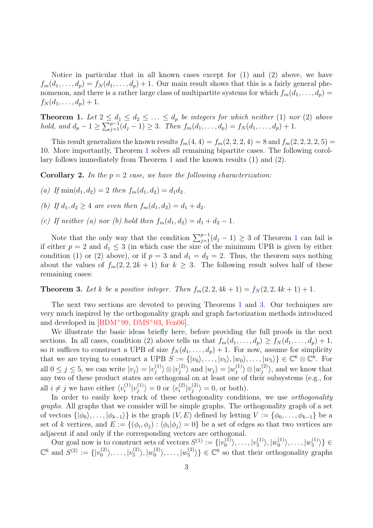Notice in particular that in all known cases except for (1) and (2) above, we have  $f_m(d_1,\ldots,d_p) = f_N(d_1,\ldots,d_p) + 1$ . Our main result shows that this is a fairly general phenomenon, and there is a rather large class of multipartite systems for which  $f_m(d_1, \ldots, d_p)$  $f_N(d_1, \ldots, d_p) + 1.$ 

<span id="page-2-0"></span>**Theorem 1.** Let  $2 \leq d_1 \leq d_2 \leq \ldots \leq d_p$  be integers for which neither (1) nor (2) above hold, and  $d_p - 1 \ge \sum_{j=1}^{p-1} (d_j - 1) \ge 3$ . Then  $f_m(d_1, \ldots, d_p) = f_N(d_1, \ldots, d_p) + 1$ .

This result generalizes the known results  $f_m(4, 4) = f_m(2, 2, 2, 4) = 8$  and  $f_m(2, 2, 2, 2, 5) =$ 10. More importantly, Theorem [1](#page-2-0) solves all remaining bipartite cases. The following corollary follows immediately from Theorem [1](#page-2-0) and the known results (1) and (2).

**Corollary 2.** In the  $p = 2$  case, we have the following characterization:

- (a) If  $\min(d_1, d_2) = 2$  then  $f_m(d_1, d_2) = d_1 d_2$ .
- (b) If  $d_1, d_2 \geq 4$  are even then  $f_m(d_1, d_2) = d_1 + d_2$ .
- (c) If neither (a) nor (b) hold then  $f_m(d_1, d_2) = d_1 + d_2 1$ .

Note that the only way that the condition  $\sum_{j=1}^{p-1}(d_j-1) \geq 3$  $\sum_{j=1}^{p-1}(d_j-1) \geq 3$  $\sum_{j=1}^{p-1}(d_j-1) \geq 3$  of Theorem 1 can fail is if either  $p = 2$  and  $d_1 \leq 3$  (in which case the size of the minimum UPB is given by either condition (1) or (2) above), or if  $p = 3$  and  $d_1 = d_2 = 2$ . Thus, the theorem says nothing about the values of  $f_m(2, 2, 2k + 1)$  for  $k \geq 3$ . The following result solves half of these remaining cases:

<span id="page-2-1"></span>**Theorem 3.** Let k be a positive integer. Then  $f_m(2, 2, 4k + 1) = f_N(2, 2, 4k + 1) + 1$ .

The next two sections are devoted to proving Theorems [1](#page-2-0) and [3.](#page-2-1) Our techniques are very much inspired by the orthogonality graph and graph factorization methods introduced and developed in  $[BDM+99, DMS+03, Fen06]$  $[BDM+99, DMS+03, Fen06]$  $[BDM+99, DMS+03, Fen06]$  $[BDM+99, DMS+03, Fen06]$  $[BDM+99, DMS+03, Fen06]$ .

We illustrate the basic ideas briefly here, before providing the full proofs in the next sections. In all cases, condition (2) above tells us that  $f_m(d_1, \ldots, d_p) \ge f_N(d_1, \ldots, d_p) + 1$ , so it suffices to construct a UPB of size  $f_N(d_1, \ldots, d_p) + 1$ . For now, assume for simplicity that we are trying to construct a UPB  $S := \{ |v_0\rangle, \ldots, |v_5\rangle, |w_0\rangle, \ldots, |w_5\rangle \} \in \mathbb{C}^6 \otimes \mathbb{C}^6$ . For all  $0 \leq j \leq 5$ , we can write  $|v_j\rangle = |v_j^{(1)}\rangle$  $\ket{j} \otimes \ket{v_j^{(2)}}$  $|y_j^{(2)}\rangle$  and  $|w_j\rangle = |w_j^{(1)}\rangle$  $|v_j^{(1)}\rangle\otimes |w_j^{(2)}|$  $\langle i^{(2)}_j \rangle$ , and we know that any two of these product states are orthogonal on at least one of their subsystems (e.g., for all  $i \neq j$  we have either  $\langle v_i^{(1)} \rangle$  $\lbrack i \rbrack v_j^{(1)}$  $\langle v_i^{(1)} \rangle = 0$  or  $\langle v_i^{(2)} \rangle$  $\left\vert _{i}^{(2)}\right\vert v_{j}^{(2)}$  $\langle i^{(2)} \rangle = 0$ , or both).

In order to easily keep track of these orthogonality conditions, we use *orthogonality* graphs. All graphs that we consider will be simple graphs. The orthogonality graph of a set of vectors  $\{|\phi_0\rangle, \ldots, |\phi_{k-1}\rangle\}$  is the graph  $(V, E)$  defined by letting  $V := \{\phi_0, \ldots, \phi_{k-1}\}\$  be a set of k vertices, and  $E := \{(\phi_i, \phi_j) : \langle \phi_i | \phi_j \rangle = 0\}$  be a set of edges so that two vertices are adjacent if and only if the corresponding vectors are orthogonal.

Our goal now is to construct sets of vectors  $S^{(1)} := \{ |v_0^{(1)}| \}$  $\ket{0^{(1)}},\ldots,\ket{v_5^{(1)}}$  $\vert v_{5}^{(1)}\rangle,\vert w_{0}^{(1)}$  $\vert {\stackrel{(1)}{0}} \rangle, \ldots, \vert {\stackrel{(1)}{v_5}}$  $\langle \begin{smallmatrix} 1 & 1 \\ 5 \end{smallmatrix} \rangle \} \in$  $\mathbb{C}^6$  and  $S^{(2)} := \{ |v_0^{(2)} \rangle \}$  $|v_0^{(2)}\rangle, \ldots, |v_5^{(2)}\rangle$  $\vert^{(2)}_5\rangle,\vert w^{(2)}_0$  $\ket{0^{(2)}},\ldots,\ket{w_5^{(2)}}$  $\{20\}\}\in \mathbb{C}^6$  so that their orthogonality graphs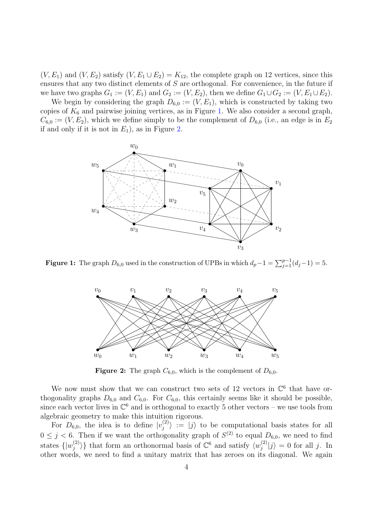$(V, E_1)$  and  $(V, E_2)$  satisfy  $(V, E_1 \cup E_2) = K_{12}$ , the complete graph on 12 vertices, since this ensures that any two distinct elements of S are orthogonal. For convenience, in the future if we have two graphs  $G_1 := (V, E_1)$  and  $G_2 := (V, E_2)$ , then we define  $G_1 \cup G_2 := (V, E_1 \cup E_2)$ .

<span id="page-3-0"></span>We begin by considering the graph  $D_{6,0} := (V, E_1)$ , which is constructed by taking two copies of  $K_6$  and pairwise joining vertices, as in Figure [1.](#page-3-0) We also consider a second graph,  $C_{6,0} := (V, E_2)$ , which we define simply to be the complement of  $D_{6,0}$  (i.e., an edge is in  $E_2$ ) if and only if it is not in  $E_1$ ), as in Figure [2.](#page-3-1)



<span id="page-3-1"></span>**Figure 1:** The graph  $D_{6,0}$  used in the construction of UPBs in which  $d_p - 1 = \sum_{j=1}^{p-1} (d_j - 1) = 5$ .



**Figure 2:** The graph  $C_{6,0}$ , which is the complement of  $D_{6,0}$ .

We now must show that we can construct two sets of 12 vectors in  $\mathbb{C}^6$  that have orthogonality graphs  $D_{6,0}$  and  $C_{6,0}$ . For  $C_{6,0}$ , this certainly seems like it should be possible, since each vector lives in  $\mathbb{C}^6$  and is orthogonal to exactly 5 other vectors – we use tools from algebraic geometry to make this intuition rigorous.

For  $D_{6,0}$ , the idea is to define  $|v_j^{(2)}|$  $\langle i_j^{(2)} \rangle := |j\rangle$  to be computational basis states for all  $0 \leq j < 6$ . Then if we want the orthogonality graph of  $S^{(2)}$  to equal  $D_{6,0}$ , we need to find states  $\{|w_i^{(2)}\>$  $\langle i^{(2)}\rangle$ } that form an orthonormal basis of  $\mathbb{C}^6$  and satisfy  $\langle w_j^{(2)} \rangle$  $|j^{(2)}|j\rangle = 0$  for all j. In other words, we need to find a unitary matrix that has zeroes on its diagonal. We again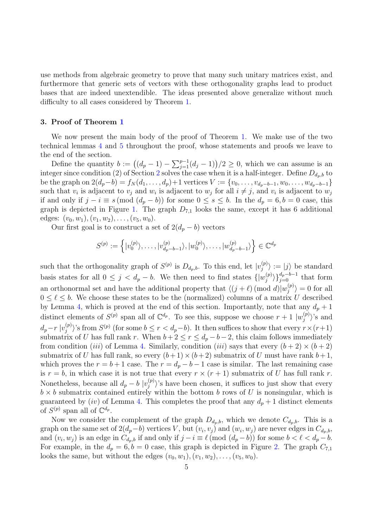use methods from algebraic geometry to prove that many such unitary matrices exist, and furthermore that generic sets of vectors with these orthogonality graphs lead to product bases that are indeed unextendible. The ideas presented above generalize without much difficulty to all cases considered by Theorem [1.](#page-2-0)

## <span id="page-4-0"></span>3. Proof of Theorem [1](#page-2-0)

We now present the main body of the proof of Theorem [1.](#page-2-0) We make use of the two technical lemmas [4](#page-5-0) and [5](#page-8-0) throughout the proof, whose statements and proofs we leave to the end of the section.

Define the quantity  $b := ((d_p - 1) - \sum_{j=1}^{p-1} (d_j - 1))/2 \geq 0$ , which we can assume is an integer since condition ([2](#page-1-0)) of Section 2 solves the case when it is a half-integer. Define  $D_{d_n,b}$  to be the graph on  $2(d_p-b) = f_N(d_1, \ldots, d_p)+1$  vertices  $V := \{v_0, \ldots, v_{d_p-b-1}, w_0, \ldots, w_{d_p-b-1}\}$ such that  $v_i$  is adjacent to  $v_j$  and  $w_i$  is adjacent to  $w_j$  for all  $i \neq j$ , and  $v_i$  is adjacent to  $w_j$ if and only if  $j - i \equiv s \pmod{(d_p - b)}$  for some  $0 \le s \le b$ . In the  $d_p = 6, b = 0$  case, this graph is depicted in Figure [1.](#page-3-0) The graph  $D_{7,1}$  looks the same, except it has 6 additional edges:  $(v_0, w_1), (v_1, w_2), \ldots, (v_5, w_0).$ 

Our first goal is to construct a set of  $2(d_p - b)$  vectors

$$
S^{(p)} := \left\{ |v_0^{(p)}\rangle, \ldots, |v_{d_p-b-1}^{(p)}\rangle, |w_0^{(p)}\rangle, \ldots, |w_{d_p-b-1}^{(p)}\rangle \right\} \in \mathbb{C}^{d_p}
$$

such that the orthogonality graph of  $S^{(p)}$  is  $D_{d_p,b}$ . To this end, let  $|v_j^{(p)}|$  $\langle j^{(p)}_j \rangle := |j\rangle$  be standard basis states for all  $0 \leq j \leq d_p - b$ . We then need to find states  $\{ |w_j^{(p)}| \leq \cdots \leq |w_j^{(p)}| \}$  $\{p \atop j\}$  $\{d_p-b-1 \atop j=0}$  that form an orthonormal set and have the additional property that  $\langle (j + \ell) \pmod{d}|w_j^{(p)}\rangle$  $\langle j^{(p)}_j \rangle = 0$  for all  $0 \leq \ell \leq b$ . We choose these states to be the (normalized) columns of a matrix U described by Lemma [4,](#page-5-0) which is proved at the end of this section. Importantly, note that any  $d_p + 1$ distinct elements of  $S^{(p)}$  span all of  $\mathbb{C}^{d_p}$ . To see this, suppose we choose  $r+1 \mid w_j^{(p)}$  $\langle j^{(p)} \rangle$ 's and  $d_p-r\mid v_j^{(p)}$  $\binom{p}{j}$ 's from  $S^{(p)}$  (for some  $b \leq r < d_p - b$ ). It then suffices to show that every  $r \times (r+1)$ submatrix of U has full rank r. When  $b+2 \le r \le d_p - b - 2$ , this claim follows immediately from condition *(iii)* of Lemma [4.](#page-5-0) Similarly, condition *(iii)* says that every  $(b+2) \times (b+2)$ submatrix of U has full rank, so every  $(b+1)\times(b+2)$  submatrix of U must have rank  $b+1$ , which proves the  $r = b + 1$  case. The  $r = d_p - b - 1$  case is similar. The last remaining case is  $r = b$ , in which case it is not true that every  $r \times (r + 1)$  submatrix of U has full rank r. Nonetheless, because all  $d_p - b$   $|v_j^{(p)}|$  $\langle \psi_j^{(p)} \rangle$ 's have been chosen, it suffices to just show that every  $b \times b$  submatrix contained entirely within the bottom b rows of U is nonsingular, which is guaranteed by (iv) of Lemma [4.](#page-5-0) This completes the proof that any  $d_p + 1$  distinct elements of  $S^{(p)}$  span all of  $\mathbb{C}^{d_p}$ .

Now we consider the complement of the graph  $D_{d_p,b}$ , which we denote  $C_{d_p,b}$ . This is a graph on the same set of  $2(d_p-b)$  vertices V, but  $(v_i, v_j)$  and  $(w_i, w_j)$  are never edges in  $C_{d_p,b}$ , and  $(v_i, w_j)$  is an edge in  $C_{d_p,b}$  if and only if  $j - i \equiv \ell \pmod{(d_p - b)}$  for some  $b < \ell < d_p - b$ . For example, in the  $d_p = 6, b = 0$  case, this graph is depicted in Figure [2.](#page-3-1) The graph  $C_{7,1}$ looks the same, but without the edges  $(v_0, w_1), (v_1, w_2), \ldots, (v_5, w_0)$ .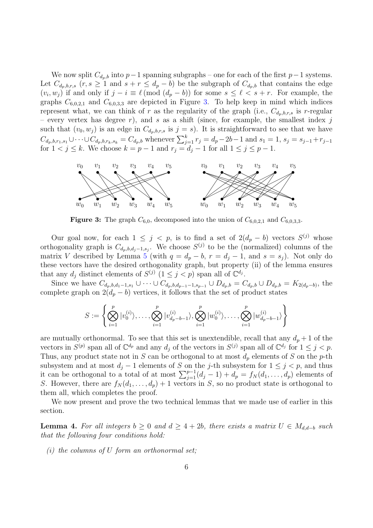We now split  $C_{d_p,b}$  into  $p-1$  spanning subgraphs – one for each of the first  $p-1$  systems. Let  $C_{d_p,b,r,s}$   $(r, s \ge 1 \text{ and } s + r \le d_p - b)$  be the subgraph of  $C_{d_p,b}$  that contains the edge  $(v_i, w_j)$  if and only if  $j - i \equiv \ell \pmod{(d_p - b)}$  for some  $s \leq \ell < s + r$ . For example, the graphs  $C_{6,0,2,1}$  and  $C_{6,0,3,3}$  are depicted in Figure [3.](#page-5-1) To help keep in mind which indices represent what, we can think of r as the regularity of the graph (i.e.,  $C_{d_p,b,r,s}$  is r-regular – every vertex has degree r), and s as a shift (since, for example, the smallest index j such that  $(v_0, w_j)$  is an edge in  $C_{d_p,b,r,s}$  is  $j = s$ ). It is straightforward to see that we have  $C_{d_p,b,r_1,s_1} \cup \cdots \cup C_{d_p,b,r_k,s_k} = C_{d_p,b}$  whenever  $\sum_{j=1}^k r_j = d_p - 2b - 1$  and  $s_1 = 1, s_j = s_{j-1} + r_{j-1}$ for  $1 < j \le k$ . We choose  $k = p - 1$  and  $r_j = d_j - 1$  for all  $1 \le j \le p - 1$ .

<span id="page-5-1"></span>

**Figure 3:** The graph  $C_{6,0}$ , decomposed into the union of  $C_{6,0,2,1}$  and  $C_{6,0,3,3}$ .

Our goal now, for each  $1 \leq j \leq p$ , is to find a set of  $2(d_p - b)$  vectors  $S^{(j)}$  whose orthogonality graph is  $C_{d_p,b,d_j-1,s_j}$ . We choose  $S^{(j)}$  to be the (normalized) columns of the matrix V described by Lemma [5](#page-8-0) (with  $q = d_p - b$ ,  $r = d_j - 1$ , and  $s = s_j$ ). Not only do these vectors have the desired orthogonality graph, but property (ii) of the lemma ensures that any  $d_j$  distinct elements of  $S^{(j)}$   $(1 \leq j < p)$  span all of  $\mathbb{C}^{d_j}$ .

Since we have  $C_{d_p,b,d_1-1,s_1} \cup \cdots \cup C_{d_p,b,d_{p-1}-1,s_{p-1}} \cup D_{d_p,b} = C_{d_p,b} \cup D_{d_p,b} = K_{2(d_p-b)},$  the complete graph on  $2(d_p - b)$  vertices, it follows that the set of product states

$$
S := \left\{ \bigotimes_{i=1}^p |v_0^{(i)}\rangle, \dots, \bigotimes_{i=1}^p |v_{d_p-b-1}^{(i)}\rangle, \bigotimes_{i=1}^p |w_0^{(i)}\rangle, \dots, \bigotimes_{i=1}^p |w_{d_p-b-1}^{(i)}\rangle \right\}
$$

are mutually orthonormal. To see that this set is unextendible, recall that any  $d_p + 1$  of the vectors in  $S^{(p)}$  span all of  $\mathbb{C}^{d_p}$  and any  $d_j$  of the vectors in  $S^{(j)}$  span all of  $\mathbb{C}^{d_j}$  for  $1 \leq j < p$ . Thus, any product state not in S can be orthogonal to at most  $d_p$  elements of S on the p-th subsystem and at most  $d_j - 1$  elements of S on the j-th subsystem for  $1 \leq j < p$ , and thus it can be orthogonal to a total of at most  $\sum_{j=1}^{p-1} (d_j - 1) + d_p = f_N(d_1, \ldots, d_p)$  elements of S. However, there are  $f_N(d_1, \ldots, d_p) + 1$  vectors in S, so no product state is orthogonal to them all, which completes the proof.

We now present and prove the two technical lemmas that we made use of earlier in this section.

<span id="page-5-0"></span>**Lemma 4.** For all integers  $b \geq 0$  and  $d \geq 4 + 2b$ , there exists a matrix  $U \in M_{d,d-b}$  such that the following four conditions hold:

 $(i)$  the columns of U form an orthonormal set;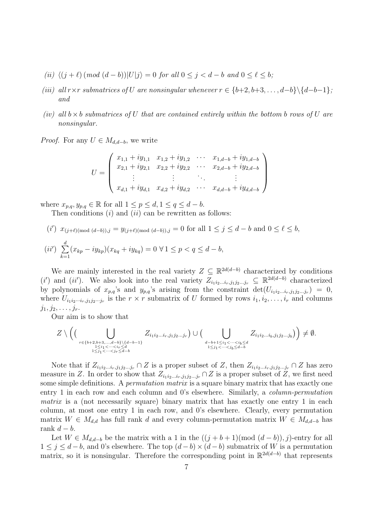- (ii)  $\langle (i + \ell) (mod (d b)) | U | i \rangle = 0$  for all  $0 \le i \le d b$  and  $0 \le \ell \le b$ ;
- (iii) all r×r submatrices of U are nonsingular whenever  $r \in \{b+2, b+3, \ldots, d-b\} \setminus \{d-b-1\}$ ; and
- (iv) all  $b \times b$  submatrices of U that are contained entirely within the bottom b rows of U are nonsingular.

*Proof.* For any  $U \in M_{d,d-b}$ , we write

$$
U = \begin{pmatrix} x_{1,1} + iy_{1,1} & x_{1,2} + iy_{1,2} & \cdots & x_{1,d-b} + iy_{1,d-b} \\ x_{2,1} + iy_{2,1} & x_{2,2} + iy_{2,2} & \cdots & x_{2,d-b} + iy_{2,d-b} \\ \vdots & \vdots & \ddots & \vdots \\ x_{d,1} + iy_{d,1} & x_{d,2} + iy_{d,2} & \cdots & x_{d,d-b} + iy_{d,d-b} \end{pmatrix}
$$

where  $x_{p,q}, y_{p,q} \in \mathbb{R}$  for all  $1 \leq p \leq d, 1 \leq q \leq d-b$ .

Then conditions  $(i)$  and  $(ii)$  can be rewritten as follows:

$$
(i') \ x_{(j+\ell)(\text{mod } (d-b)),j} = y_{(j+\ell)(\text{mod } (d-b)),j} = 0 \text{ for all } 1 \le j \le d-b \text{ and } 0 \le \ell \le b,
$$
  

$$
(ii') \ \sum_{k=1}^d (x_{kp} - iy_{kp})(x_{kq} + iy_{kq}) = 0 \ \forall 1 \le p < q \le d-b,
$$

We are mainly interested in the real variety  $Z \subseteq \mathbb{R}^{2d(d-b)}$  characterized by conditions (i') and (ii'). We also look into the real variety  $Z_{i_1i_2...i_r,j_1j_2...j_r} \subseteq \mathbb{R}^{2d(d-b)}$  characterized by polynomials of  $x_{p,q}$ 's and  $y_{p,q}$ 's arising from the constraint  $\det(U_{i_1i_2...i_r,j_1j_2...j_r}) = 0$ , where  $U_{i_1i_2\cdots i_r,j_1j_2\cdots j_r}$  is the  $r \times r$  submatrix of U formed by rows  $i_1, i_2, \ldots, i_r$  and columns  $j_1, j_2, \ldots, j_r.$ 

Our aim is to show that

$$
Z \setminus \Big( \big( \bigcup_{\substack{r \in \{b+2,b+3,\ldots,d-b\} \setminus \{d-b-1\} \\ 1 \leq i_1 < \cdots < i_r \leq d \\ 1 \leq j_1 < \cdots < j_r \leq d-b}} Z_{i_1 i_2 \ldots i_r, j_1 j_2 \ldots j_r} \big) \cup \big( \bigcup_{\substack{d-b+1 \leq i_1 < \cdots < i_b \leq d \\ 1 \leq j_1 < \cdots < j_b \leq d-b}} Z_{i_1 i_2 \ldots i_b, j_1 j_2 \ldots j_b} \big) \Big) \neq \emptyset.
$$

Note that if  $Z_{i_1i_2...i_r,j_1j_2...j_r} \cap Z$  is a proper subset of Z, then  $Z_{i_1i_2...i_r,j_1j_2...j_r} \cap Z$  has zero measure in Z. In order to show that  $Z_{i_1i_2...i_r,j_1j_2...j_r} \cap Z$  is a proper subset of Z, we first need some simple definitions. A *permutation matrix* is a square binary matrix that has exactly one entry 1 in each row and each column and 0's elsewhere. Similarly, a column-permutation matrix is a (not necessarily square) binary matrix that has exactly one entry 1 in each column, at most one entry 1 in each row, and 0's elsewhere. Clearly, every permutation matrix  $W \in M_{d,d}$  has full rank d and every column-permutation matrix  $W \in M_{d,d-b}$  has rank  $d - b$ .

Let  $W \in M_{d,d-b}$  be the matrix with a 1 in the  $((j+b+1)(\text{mod } (d-b)), j)$ -entry for all  $1 \leq j \leq d - b$ , and 0's elsewhere. The top  $(d - b) \times (d - b)$  submatrix of W is a permutation matrix, so it is nonsingular. Therefore the corresponding point in  $\mathbb{R}^{2d(d-b)}$  that represents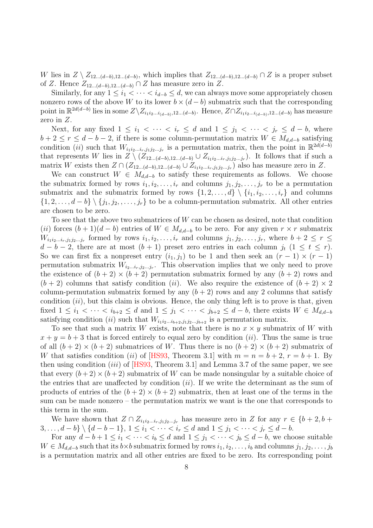W lies in  $Z \setminus Z_{12...(d-b),12...(d-b)}$ , which implies that  $Z_{12...(d-b),12...(d-b)} \cap Z$  is a proper subset of Z. Hence  $Z_{12...(d-b),12...(d-b)} \cap Z$  has measure zero in Z.

Similarly, for any  $1 \leq i_1 < \cdots < i_{d-b} \leq d$ , we can always move some appropriately chosen nonzero rows of the above W to its lower  $b \times (d - b)$  submatrix such that the corresponding point in  $\mathbb{R}^{2d(d-b)}$  lies in some  $Z\setminus Z_{i_1i_2...i_{(d-b)},12...(d-b)}$ . Hence,  $Z\cap Z_{i_1i_2...i_{(d-b)},12...(d-b)}$  has measure zero in Z.

Next, for any fixed  $1 \leq i_1 < \cdots < i_r \leq d$  and  $1 \leq j_1 < \cdots < j_r \leq d - b$ , where  $b+2 \leq r \leq d-b-2$ , if there is some column-permutation matrix  $W \in M_{d,d-b}$  satisfying condition (ii) such that  $W_{i_1i_2...i_r,j_1j_2...j_r}$  is a permutation matrix, then the point in  $\mathbb{R}^{2d(d-b)}$ that represents W lies in  $Z \setminus (Z_{12...(d-b),12...(d-b)} \cup Z_{i_1i_2...i_r,j_1j_2...j_r}$ . It follows that if such a matrix W exists then  $Z \cap (Z_{12...(d-b),12...(d-b)} \cup Z_{i_1i_2...i_r,j_1j_2...j_r})$  also has measure zero in Z.

We can construct  $W \in M_{d,d-b}$  to satisfy these requirements as follows. We choose the submatrix formed by rows  $i_1, i_2, \ldots, i_r$  and columns  $j_1, j_2, \ldots, j_r$  to be a permutation submatrix and the submatrix formed by rows  $\{1, 2, \ldots, d\} \setminus \{i_1, i_2, \ldots, i_r\}$  and columns  $\{1, 2, \ldots, d - b\} \setminus \{j_1, j_2, \ldots, j_r\}$  to be a column-permutation submatrix. All other entries are chosen to be zero.

To see that the above two submatrices of  $W$  can be chosen as desired, note that condition (ii) forces  $(b+1)(d-b)$  entries of  $W \in M_{d,d-b}$  to be zero. For any given  $r \times r$  submatrix  $W_{i_1i_2...i_r,j_1j_2...j_r}$  formed by rows  $i_1,i_2,...,i_r$  and columns  $j_1,j_2,...,j_r$ , where  $b+2 \leq r \leq$  $d - b - 2$ , there are at most  $(b + 1)$  preset zero entries in each column j<sub>t</sub>  $(1 \leq t \leq r)$ . So we can first fix a nonpreset entry  $(i_1, j_1)$  to be 1 and then seek an  $(r - 1) \times (r - 1)$ permutation submatrix  $W_{i_2...i_r,j_2...j_r}$ . This observation implies that we only need to prove the existence of  $(b+2) \times (b+2)$  permutation submatrix formed by any  $(b+2)$  rows and  $(b+2)$  columns that satisfy condition *(ii)*. We also require the existence of  $(b+2) \times 2$ column-permutation submatrix formed by any  $(b + 2)$  rows and any 2 columns that satisfy condition  $(ii)$ , but this claim is obvious. Hence, the only thing left is to prove is that, given fixed  $1 \leq i_1 < \cdots < i_{b+2} \leq d$  and  $1 \leq j_1 < \cdots < j_{b+2} \leq d-b$ , there exists  $W \in M_{d,d-b}$ satisfying condition (ii) such that  $W_{i_1i_2...i_{b+2},j_1j_2...j_{b+2}}$  is a permutation matrix.

To see that such a matrix W exists, note that there is no  $x \times y$  submatrix of W with  $x + y = b + 3$  that is forced entirely to equal zero by condition *(ii)*. Thus the same is true of all  $(b+2) \times (b+2)$  submatrices of W. Thus there is no  $(b+2) \times (b+2)$  submatrix of W that satisfies condition (ii) of [\[HS93,](#page-15-9) Theorem 3.1] with  $m = n = b + 2$ ,  $r = b + 1$ . By then using condition *(iii)* of  $[HS93,$  Theorem 3.1 and Lemma 3.7 of the same paper, we see that every  $(b+2) \times (b+2)$  submatrix of W can be made nonsingular by a suitable choice of the entries that are unaffected by condition  $(ii)$ . If we write the determinant as the sum of products of entries of the  $(b+2) \times (b+2)$  submatrix, then at least one of the terms in the sum can be made nonzero – the permutation matrix we want is the one that corresponds to this term in the sum.

We have shown that  $Z \cap Z_{i_1i_2...i_r,j_1j_2...j_r}$  has measure zero in Z for any  $r \in \{b+2,b+1\}$ 3, . . . ,  $d - b$   $\} \setminus \{d - b - 1\}$ ,  $1 \leq i_1 < \cdots < i_r \leq d$  and  $1 \leq j_1 < \cdots < j_r \leq d - b$ .

For any  $d - b + 1 \leq i_1 < \cdots < i_b \leq d$  and  $1 \leq j_1 < \cdots < j_b \leq d - b$ , we choose suitable  $W \in M_{d,d-b}$  such that its  $b \times b$  submatrix formed by rows  $i_1, i_2, \ldots, i_b$  and columns  $j_1, j_2, \ldots, j_b$ is a permutation matrix and all other entries are fixed to be zero. Its corresponding point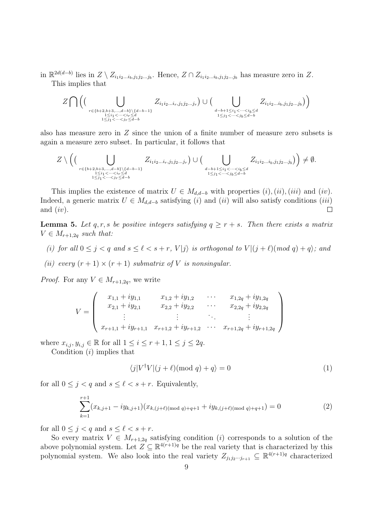in  $\mathbb{R}^{2d(d-b)}$  lies in  $Z \setminus Z_{i_1i_2...i_b,j_1j_2...j_b}$ . Hence,  $Z \cap Z_{i_1i_2...i_b,j_1j_2...j_b}$  has measure zero in  $Z$ . This implies that

$$
Z \bigcap \Big( \big( \bigcup_{\substack{r \in \{b+2,b+3,\ldots,d-b\} \setminus \{d-b-1\} \\ 1 \leq i_1 < \cdots < i_r \leq d \\ 1 \leq j_1 < \cdots < j_r \leq d-b}} Z_{i_1 i_2 \ldots i_r, j_1 j_2 \ldots j_r} \big) \cup \big( \bigcup_{\substack{d-b+1 \leq i_1 < \cdots < i_b \leq d \\ 1 \leq j_1 < \cdots < j_b \leq d-b}} Z_{i_1 i_2 \ldots i_b, j_1 j_2 \ldots j_b} \big) \Big)
$$

also has measure zero in Z since the union of a finite number of measure zero subsets is again a measure zero subset. In particular, it follows that

$$
Z \setminus \Big( \big( \bigcup_{\substack{r \in \{b+2,b+3,\ldots,d-b\} \setminus \{d-b-1\} \\ 1 \leq i_1 < \cdots < i_r \leq d \\ 1 \leq j_1 < \cdots < j_r \leq d-b}} Z_{i_1 i_2 \ldots i_r, j_1 j_2 \ldots j_r} \big) \cup \big( \bigcup_{\substack{d-b+1 \leq i_1 < \cdots < i_b \leq d \\ 1 \leq j_1 < \cdots < j_b \leq d-b}} Z_{i_1 i_2 \ldots i_b, j_1 j_2 \ldots j_b} \big) \Big) \neq \emptyset.
$$

This implies the existence of matrix  $U \in M_{d,d-b}$  with properties  $(i)$ ,  $(ii)$ ,  $(iii)$  and  $(iv)$ . Indeed, a generic matrix  $U \in M_{d,d-b}$  satisfying (i) and (ii) will also satisfy conditions (iii) and  $(iv)$ .  $\Box$ 

<span id="page-8-0"></span>**Lemma 5.** Let q, r, s be positive integers satisfying  $q \geq r + s$ . Then there exists a matrix  $V \in M_{r+1,2q}$  such that:

- (i) for all  $0 \leq j < q$  and  $s \leq \ell < s + r$ ,  $V|j\rangle$  is orthogonal to  $V|(j + \ell)(mod q) + q\rangle$ ; and
- (ii) every  $(r + 1) \times (r + 1)$  submatrix of V is nonsingular.

*Proof.* For any  $V \in M_{r+1,2q}$ , we write

$$
V = \begin{pmatrix} x_{1,1} + iy_{1,1} & x_{1,2} + iy_{1,2} & \cdots & x_{1,2q} + iy_{1,2q} \\ x_{2,1} + iy_{2,1} & x_{2,2} + iy_{2,2} & \cdots & x_{2,2q} + iy_{2,2q} \\ \vdots & \vdots & \ddots & \vdots \\ x_{r+1,1} + iy_{r+1,1} & x_{r+1,2} + iy_{r+1,2} & \cdots & x_{r+1,2q} + iy_{r+1,2q} \end{pmatrix}
$$

where  $x_{i,j}, y_{i,j} \in \mathbb{R}$  for all  $1 \leq i \leq r+1, 1 \leq j \leq 2q$ .

Condition  $(i)$  implies that

$$
\langle j|V^{\dagger}V|(j+\ell)(\text{mod }q)+q\rangle = 0\tag{1}
$$

for all  $0 \leq j < q$  and  $s \leq \ell < s + r$ . Equivalently,

$$
\sum_{k=1}^{r+1} (x_{k,j+1} - iy_{k,j+1})(x_{k,(j+\ell) \pmod{q}+q+1} + iy_{k,(j+\ell) \pmod{q}+q+1}) = 0
$$
 (2)

for all  $0 \leq j \leq q$  and  $s \leq \ell \leq s + r$ .

So every matrix  $V \in M_{r+1,2q}$  satisfying condition (*i*) corresponds to a solution of the above polynomial system. Let  $Z \subseteq \mathbb{R}^{4(r+1)q}$  be the real variety that is characterized by this polynomial system. We also look into the real variety  $Z_{j_1j_2\cdots j_{r+1}} \subseteq \mathbb{R}^{4(r+1)q}$  characterized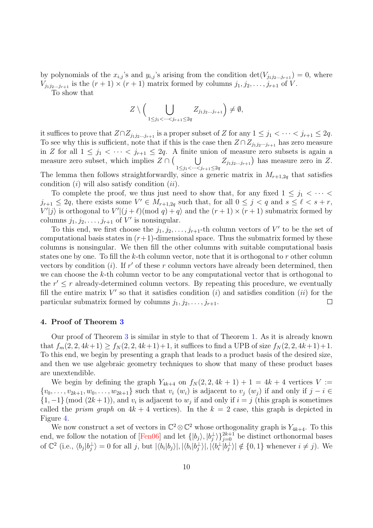by polynomials of the  $x_{i,j}$ 's and  $y_{i,j}$ 's arising from the condition det $(V_{j_1j_2\ldots j_{r+1}}) = 0$ , where  $V_{j_1j_2...j_{r+1}}$  is the  $(r+1)\times(r+1)$  matrix formed by columns  $j_1, j_2, \ldots, j_{r+1}$  of V.

To show that

$$
Z \setminus \Big( \bigcup_{1 \leq j_1 < \cdots < j_{r+1} \leq 2q} Z_{j_1 j_2 \ldots j_{r+1}} \Big) \neq \emptyset,
$$

it suffices to prove that  $Z \cap Z_{j_1j_2...j_{r+1}}$  is a proper subset of Z for any  $1 \leq j_1 < \cdots < j_{r+1} \leq 2q$ . To see why this is sufficient, note that if this is the case then  $Z \cap Z_{j_1j_2\cdots j_{r+1}}$  has zero measure in Z for all  $1 \leq j_1 < \cdots < j_{r+1} \leq 2q$ . A finite union of measure zero subsets is again a measure zero subset, which implies  $Z \cap ($  $\begin{pmatrix} 1 & 1 \\ 1 & 1 \end{pmatrix}$  $1 \leq j_1 < \cdots < j_{r+1} \leq 2q$  $Z_{j_1j_2...j_{r+1}}$  has measure zero in Z. The lemma then follows straightforwardly, since a generic matrix in  $M_{r+1,2g}$  that satisfies condition  $(i)$  will also satisfy condition  $(ii)$ .

To complete the proof, we thus just need to show that, for any fixed  $1 \leq j_1 < \cdots <$  $j_{r+1} \leq 2q$ , there exists some  $V' \in M_{r+1,2q}$  such that, for all  $0 \leq j < q$  and  $s \leq \ell < s+r$ ,  $V'|j\rangle$  is orthogonal to  $V'|(j+\ell)(\text{mod } q)+q\rangle$  and the  $(r+1)\times (r+1)$  submatrix formed by columns  $j_1, j_2, \ldots, j_{r+1}$  of  $V'$  is nonsingular.

To this end, we first choose the  $j_1, j_2, \ldots, j_{r+1}$ -th column vectors of V' to be the set of computational basis states in  $(r+1)$ -dimensional space. Thus the submatrix formed by these columns is nonsingular. We then fill the other columns with suitable computational basis states one by one. To fill the  $k$ -th column vector, note that it is orthogonal to  $r$  other column vectors by condition  $(i)$ . If r' of these r column vectors have already been determined, then we can choose the  $k$ -th column vector to be any computational vector that is orthogonal to the  $r' \leq r$  already-determined column vectors. By repeating this procedure, we eventually fill the entire matrix  $V'$  so that it satisfies condition (i) and satisfies condition (ii) for the particular submatrix formed by columns  $j_1, j_2, \ldots, j_{r+1}$ .  $\Box$ 

#### <span id="page-9-0"></span>4. Proof of Theorem [3](#page-2-1)

Our proof of Theorem [3](#page-2-1) is similar in style to that of Theorem [1.](#page-2-0) As it is already known that  $f_m(2, 2, 4k+1) \ge f_N(2, 2, 4k+1)+1$ , it suffices to find a UPB of size  $f_N(2, 2, 4k+1)+1$ . To this end, we begin by presenting a graph that leads to a product basis of the desired size, and then we use algebraic geometry techniques to show that many of these product bases are unextendible.

We begin by defining the graph  $Y_{4k+4}$  on  $f_N(2, 2, 4k+1) + 1 = 4k+4$  vertices  $V :=$  $\{v_0, \ldots, v_{2k+1}, w_0, \ldots, w_{2k+1}\}\$  such that  $v_i(w_i)$  is adjacent to  $v_j(w_j)$  if and only if  $j-i \in$  $\{1, -1\}$  (mod  $(2k+1)$ ), and  $v_i$  is adjacent to  $w_j$  if and only if  $i = j$  (this graph is sometimes called the *prism graph* on  $4k + 4$  vertices). In the  $k = 2$  case, this graph is depicted in Figure [4.](#page-10-0)

We now construct a set of vectors in  $\mathbb{C}^2 \otimes \mathbb{C}^2$  whose orthogonality graph is  $Y_{4k+4}$ . To this end, we follow the notation of  $\text{[Pen06]}$  and let  $\{|b_j\rangle, |b_j^{\perp}\rangle\}_{j=0}^{2k+1}$  be distinct orthonormal bases of  $\mathbb{C}^2$  (i.e.,  $\langle b_j | b_j^{\perp} \rangle = 0$  for all j, but  $|\langle b_i | b_j \rangle|, |\langle b_i | b_j^{\perp} \rangle|, |\langle b_i^{\perp} | b_j^{\perp} \rangle| \notin \{0, 1\}$  whenever  $i \neq j$ ). We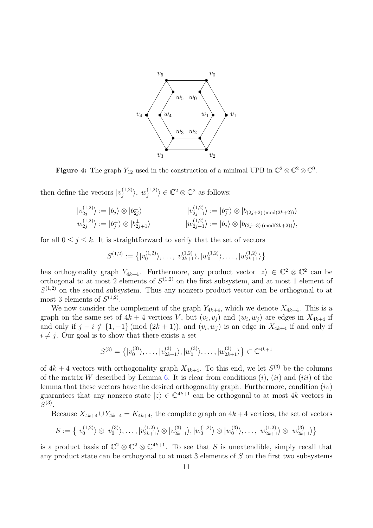<span id="page-10-0"></span>

**Figure 4:** The graph  $Y_{12}$  used in the construction of a minimal UPB in  $\mathbb{C}^2 \otimes \mathbb{C}^2 \otimes \mathbb{C}^9$ .

then define the vectors  $|v_i^{(1,2)}\rangle$  $\langle\substack{(1,2)\j}\rangle, |w_j^{(1,2)}\rangle$  $\langle 1,2 \rangle$   $\in \mathbb{C}^2 \otimes \mathbb{C}^2$  as follows:

$$
|v_{2j}^{(1,2)}\rangle := |b_j\rangle \otimes |b_{2j}^{\perp}\rangle
$$
  
\n
$$
|v_{2j+1}^{(1,2)}\rangle := |b_j^{\perp}\rangle \otimes |b_{2j+1}^{\perp}\rangle
$$
  
\n
$$
|v_{2j+1}^{(1,2)}\rangle := |b_j^{\perp}\rangle \otimes |b_{2j+1}^{\perp}\rangle
$$
  
\n
$$
|v_{2j+1}^{(1,2)}\rangle := |b_j\rangle \otimes |b_{(2j+3) \pmod{(2k+2)}}\rangle,
$$

for all  $0 \leq j \leq k$ . It is straightforward to verify that the set of vectors

$$
S^{(1,2)} := \left\{ |v_0^{(1,2)}\rangle, \ldots, |v_{2k+1}^{(1,2)}\rangle, |w_0^{(1,2)}\rangle, \ldots, |w_{2k+1}^{(1,2)}\rangle \right\}
$$

has orthogonality graph  $Y_{4k+4}$ . Furthermore, any product vector  $|z\rangle \in \mathbb{C}^2 \otimes \mathbb{C}^2$  can be orthogonal to at most 2 elements of  $S^{(1,2)}$  on the first subsystem, and at most 1 element of  $S^{(1,2)}$  on the second subsystem. Thus any nonzero product vector can be orthogonal to at most 3 elements of  $S^{(1,2)}$ .

We now consider the complement of the graph  $Y_{4k+4}$ , which we denote  $X_{4k+4}$ . This is a graph on the same set of  $4k+4$  vertices V, but  $(v_i, v_j)$  and  $(w_i, w_j)$  are edges in  $X_{4k+4}$  if and only if  $j - i \notin \{1, -1\}$  (mod  $(2k + 1)$ ), and  $(v_i, w_j)$  is an edge in  $X_{4k+4}$  if and only if  $i \neq j$ . Our goal is to show that there exists a set

$$
S^{(3)} = \left\{ |v_0^{(3)}\rangle, \ldots, |v_{2k+1}^{(3)}\rangle, |w_0^{(3)}\rangle, \ldots, |w_{2k+1}^{(3)}\rangle \right\} \subset \mathbb{C}^{4k+1}
$$

of  $4k+4$  vectors with orthogonality graph  $X_{4k+4}$ . To this end, we let  $S^{(3)}$  be the columns of the matrix W described by Lemma [6.](#page-11-1) It is clear from conditions  $(i)$ ,  $(ii)$  and  $(iii)$  of the lemma that these vectors have the desired orthogonality graph. Furthermore, condition  $(iv)$ guarantees that any nonzero state  $|z\rangle \in \mathbb{C}^{4k+1}$  can be orthogonal to at most 4k vectors in  $S^{(3)}$ .

Because  $X_{4k+4} \cup Y_{4k+4} = K_{4k+4}$ , the complete graph on  $4k+4$  vertices, the set of vectors

$$
S := \left\{ |v_0^{(1,2)}\rangle \otimes |v_0^{(3)}\rangle, \ldots, |v_{2k+1}^{(1,2)}\rangle \otimes |v_{2k+1}^{(3)}\rangle, |w_0^{(1,2)}\rangle \otimes |w_0^{(3)}\rangle, \ldots, |w_{2k+1}^{(1,2)}\rangle \otimes |w_{2k+1}^{(3)}\rangle \right\}
$$

is a product basis of  $\mathbb{C}^2 \otimes \mathbb{C}^2 \otimes \mathbb{C}^{4k+1}$ . To see that S is unextendible, simply recall that any product state can be orthogonal to at most 3 elements of S on the first two subsystems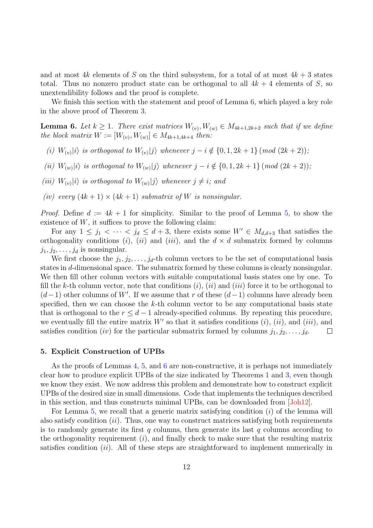and at most 4k elements of S on the third subsystem, for a total of at most  $4k+3$  states total. Thus no nonzero product state can be orthogonal to all  $4k + 4$  elements of S, so unextendibility follows and the proof is complete.

We finish this section with the statement and proof of Lemma  $6$ , which played a key role in the above proof of Theorem [3.](#page-2-1)

<span id="page-11-1"></span>**Lemma 6.** Let  $k \geq 1$ . There exist matrices  $W_{(v)}, W_{(w)} \in M_{4k+1,2k+2}$  such that if we define the block matrix  $W := [W_{(v)}, W_{(w)}] \in M_{4k+1,4k+4}$  then:

- (i)  $W_{(v)}|i\rangle$  is orthogonal to  $W_{(v)}|j\rangle$  whenever  $j-i \notin \{0,1,2k+1\}$  (mod  $(2k+2)$ );
- (ii)  $W_{(w)}|i\rangle$  is orthogonal to  $W_{(w)}|j\rangle$  whenever  $j-i \notin \{0, 1, 2k+1\}$  (mod  $(2k+2)$ );
- (iii)  $W_{(v)}|i\rangle$  is orthogonal to  $W_{(w)}|j\rangle$  whenever  $j\neq i$ ; and
- (iv) every  $(4k + 1) \times (4k + 1)$  submatrix of W is nonsingular.

*Proof.* Define  $d := 4k + 1$  for simplicity. Similar to the proof of Lemma [5,](#page-8-0) to show the existence of  $W$ , it suffices to prove the following claim:

For any  $1 \leq j_1 < \cdots < j_d \leq d+3$ , there exists some  $W' \in M_{d,d+3}$  that satisfies the orthogonality conditions (i), (ii) and (iii), and the  $d \times d$  submatrix formed by columns  $j_1, j_2, \ldots, j_d$  is nonsingular.

We first choose the  $j_1, j_2, \ldots, j_d$ -th column vectors to be the set of computational basis states in d-dimensional space. The submatrix formed by these columns is clearly nonsingular. We then fill other column vectors with suitable computational basis states one by one. To fill the k-th column vector, note that conditions  $(i)$ ,  $(ii)$  and  $(iii)$  force it to be orthogonal to  $(d-1)$  other columns of W'. If we assume that r of these  $(d-1)$  columns have already been specified, then we can choose the  $k$ -th column vector to be any computational basis state that is orthogonal to the  $r \leq d-1$  already-specified columns. By repeating this procedure, we eventually fill the entire matrix  $W'$  so that it satisfies conditions  $(i)$ ,  $(ii)$ , and  $(iii)$ , and satisfies condition (iv) for the particular submatrix formed by columns  $j_1, j_2, \ldots, j_d$ .  $\Box$ 

#### <span id="page-11-0"></span>5. Explicit Construction of UPBs

As the proofs of Lemmas [4,](#page-5-0) [5,](#page-8-0) and [6](#page-11-1) are non-constructive, it is perhaps not immediately clear how to produce explicit UPBs of the size indicated by Theorems [1](#page-2-0) and [3,](#page-2-1) even though we know they exist. We now address this problem and demonstrate how to construct explicit UPBs of the desired size in small dimensions. Code that implements the techniques described in this section, and thus constructs minimal UPBs, can be downloaded from [\[Joh12\]](#page-15-10).

For Lemma [5,](#page-8-0) we recall that a generic matrix satisfying condition  $(i)$  of the lemma will also satisfy condition  $(ii)$ . Thus, one way to construct matrices satisfying both requirements is to randomly generate its first q columns, then generate its last q columns according to the orthogonality requirement  $(i)$ , and finally check to make sure that the resulting matrix satisfies condition  $(ii)$ . All of these steps are straightforward to implement numerically in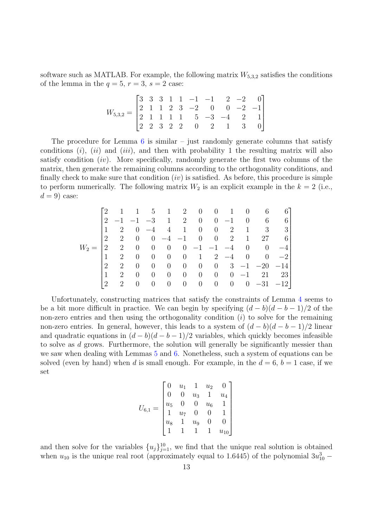software such as MATLAB. For example, the following matrix  $W_{5,3,2}$  satisfies the conditions of the lemma in the  $q = 5$ ,  $r = 3$ ,  $s = 2$  case:

$$
W_{5,3,2} = \begin{bmatrix} 3 & 3 & 3 & 1 & 1 & -1 & -1 & 2 & -2 & 0 \\ 2 & 1 & 1 & 2 & 3 & -2 & 0 & 0 & -2 & -1 \\ 2 & 1 & 1 & 1 & 1 & 5 & -3 & -4 & 2 & 1 \\ 2 & 2 & 3 & 2 & 2 & 0 & 2 & 1 & 3 & 0 \end{bmatrix}
$$

The procedure for Lemma  $6$  is similar – just randomly generate columns that satisfy conditions  $(i)$ ,  $(ii)$  and  $(iii)$ , and then with probability 1 the resulting matrix will also satisfy condition  $(iv)$ . More specifically, randomly generate the first two columns of the matrix, then generate the remaining columns according to the orthogonality conditions, and finally check to make sure that condition  $(iv)$  is satisfied. As before, this procedure is simple to perform numerically. The following matrix  $W_2$  is an explicit example in the  $k = 2$  (i.e.,  $d = 9$ ) case:

$$
W_2 = \begin{bmatrix} 2 & 1 & 1 & 5 & 1 & 2 & 0 & 0 & 1 & 0 & 6 & 6 \\ 2 & -1 & -1 & -3 & 1 & 2 & 0 & 0 & -1 & 0 & 6 & 6 \\ 1 & 2 & 0 & -4 & 4 & 1 & 0 & 0 & 2 & 1 & 3 & 3 \\ 2 & 2 & 0 & 0 & -4 & -1 & 0 & 0 & 2 & 1 & 27 & 6 \\ 2 & 2 & 0 & 0 & 0 & 0 & -1 & -1 & -4 & 0 & 0 & -4 \\ 1 & 2 & 0 & 0 & 0 & 0 & 1 & 2 & -4 & 0 & 0 & -2 \\ 2 & 2 & 0 & 0 & 0 & 0 & 0 & 0 & 3 & -1 & -20 & -14 \\ 1 & 2 & 0 & 0 & 0 & 0 & 0 & 0 & 0 & -31 & -12 \end{bmatrix}
$$

Unfortunately, constructing matrices that satisfy the constraints of Lemma [4](#page-5-0) seems to be a bit more difficult in practice. We can begin by specifying  $(d - b)(d - b - 1)/2$  of the non-zero entries and then using the orthogonality condition  $(i)$  to solve for the remaining non-zero entries. In general, however, this leads to a system of  $(d - b)(d - b - 1)/2$  linear and quadratic equations in  $(d - b)(d - b - 1)/2$  variables, which quickly becomes infeasible to solve as d grows. Furthermore, the solution will generally be significantly messier than we saw when dealing with Lemmas [5](#page-8-0) and [6.](#page-11-1) Nonetheless, such a system of equations can be solved (even by hand) when d is small enough. For example, in the  $d = 6$ ,  $b = 1$  case, if we set

$$
U_{6,1} = \begin{bmatrix} 0 & u_1 & 1 & u_2 & 0 \\ 0 & 0 & u_3 & 1 & u_4 \\ u_5 & 0 & 0 & u_6 & 1 \\ 1 & u_7 & 0 & 0 & 1 \\ u_8 & 1 & u_9 & 0 & 0 \\ 1 & 1 & 1 & 1 & u_{10} \end{bmatrix}
$$

and then solve for the variables  $\{u_j\}_{j=1}^{10}$ , we find that the unique real solution is obtained when  $u_{10}$  is the unique real root (approximately equal to 1.6445) of the polynomial  $3u_{10}^3$  –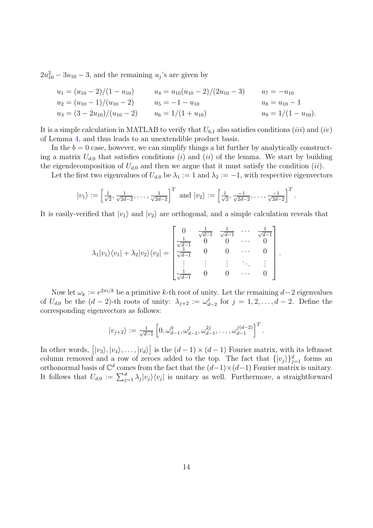$2u_{10}^2 - 3u_{10} - 3$ , and the remaining  $u_j$ 's are given by

$$
u_1 = (u_{10} - 2)/(1 - u_{10})
$$
  
\n
$$
u_2 = (u_{10} - 1)/(u_{10} - 2)
$$
  
\n
$$
u_3 = (3 - 2u_{10})/(u_{10} - 2)
$$
  
\n
$$
u_4 = u_{10}(u_{10} - 2)/(2u_{10} - 3)
$$
  
\n
$$
u_5 = -1 - u_{10}
$$
  
\n
$$
u_6 = 1/(1 + u_{10})
$$
  
\n
$$
u_7 = -u_{10}
$$
  
\n
$$
u_8 = u_{10} - 1
$$
  
\n
$$
u_9 = 1/(1 - u_{10}).
$$

It is a simple calculation in MATLAB to verify that  $U_{6,1}$  also satisfies conditions (*iii*) and (*iv*) of Lemma [4,](#page-5-0) and thus leads to an unextendible product basis.

In the  $b = 0$  case, however, we can simplify things a bit further by analytically constructing a matrix  $U_{d,0}$  that satisfies conditions (i) and (ii) of the lemma. We start by building the eigendecomposition of  $U_{d,0}$  and then we argue that it must satisfy the condition (ii).

Let the first two eigenvalues of  $U_{d,0}$  be  $\lambda_1 := 1$  and  $\lambda_2 := -1$ , with respective eigenvectors

.

$$
|v_1\rangle := \left[\frac{1}{\sqrt{2}}, \frac{1}{\sqrt{2d-2}}, \dots, \frac{1}{\sqrt{2d-2}}\right]^T
$$
 and  $|v_2\rangle := \left[\frac{1}{\sqrt{2}}, \frac{-1}{\sqrt{2d-2}}, \dots, \frac{-1}{\sqrt{2d-2}}\right]^T$ 

It is easily-verified that  $|v_1\rangle$  and  $|v_2\rangle$  are orthogonal, and a simple calculation reveals that

$$
\lambda_1|v_1\rangle\langle v_1| + \lambda_2|v_2\rangle\langle v_2| = \begin{bmatrix} 0 & \frac{1}{\sqrt{d-1}} & \frac{1}{\sqrt{d-1}} & \cdots & \frac{1}{\sqrt{d-1}} \\ \frac{1}{\sqrt{d-1}} & 0 & 0 & \cdots & 0 \\ \frac{1}{\sqrt{d-1}} & 0 & 0 & \cdots & 0 \\ \vdots & \vdots & \vdots & \ddots & \vdots \\ \frac{1}{\sqrt{d-1}} & 0 & 0 & \cdots & 0 \end{bmatrix}.
$$

Now let  $\omega_k := e^{2\pi i/k}$  be a primitive k-th root of unity. Let the remaining  $d-2$  eigenvalues of  $U_{d,0}$  be the  $(d-2)$ -th roots of unity:  $\lambda_{j+2} := \omega_d^j$  $d_{-2}$  for  $j = 1, 2, ..., d - 2$ . Define the corresponding eigenvectors as follows:

$$
|v_{j+2}\rangle := \frac{1}{\sqrt{d-1}} \left[ 0, \omega_{d-1}^0, \omega_{d-1}^j, \omega_{d-1}^{2j}, \dots, \omega_{d-1}^{j(d-2)} \right]^T.
$$

In other words,  $[|v_3\rangle, |v_4\rangle, \ldots, |v_d\rangle]$  is the  $(d-1) \times (d-1)$  Fourier matrix, with its leftmost column removed and a row of zeroes added to the top. The fact that  $\{|v_j\rangle\}_{j=1}^d$  forms an orthonormal basis of  $\mathbb{C}^d$  comes from the fact that the  $(d-1)\times(d-1)$  Fourier matrix is unitary. It follows that  $U_{d,0} := \sum_{j=1}^d \lambda_j |v_j\rangle\langle v_j|$  is unitary as well. Furthermore, a straightforward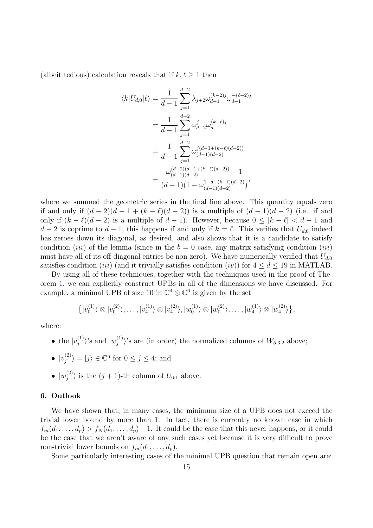(albeit tedious) calculation reveals that if  $k, \ell \geq 1$  then

$$
\langle k|U_{d,0}|\ell\rangle = \frac{1}{d-1} \sum_{j=1}^{d-2} \lambda_{j+2} \omega_{d-1}^{(k-2)j} \omega_{d-1}^{-(\ell-2)j}
$$
  
= 
$$
\frac{1}{d-1} \sum_{j=1}^{d-2} \omega_{d-2}^j \omega_{d-1}^{(k-\ell)j}
$$
  
= 
$$
\frac{1}{d-1} \sum_{j=1}^{d-2} \omega_{(d-1)(d-2)}^{j(d-1+(k-\ell)(d-2))}
$$
  
= 
$$
\frac{\omega_{(d-2)(d-1+(k-\ell)(d-2))}^{(d-2)(d-1+(k-\ell)(d-2))} - 1}{(d-1)(1-\omega_{(d-1)(d-2)}^{1-d-(k-\ell)(d-2)})},
$$

where we summed the geometric series in the final line above. This quantity equals zero if and only if  $(d-2)(d-1+(k-\ell)(d-2))$  is a multiple of  $(d-1)(d-2)$  (i.e., if and only if  $(k - \ell)(d - 2)$  is a multiple of  $d - 1$ ). However, because  $0 \leq |k - \ell| < d - 1$  and  $d-2$  is coprime to  $d-1$ , this happens if and only if  $k = \ell$ . This verifies that  $U_{d,0}$  indeed has zeroes down its diagonal, as desired, and also shows that it is a candidate to satisfy condition (*iii*) of the lemma (since in the  $b = 0$  case, any matrix satisfying condition (*iii*) must have all of its off-diagonal entries be non-zero). We have numerically verified that  $U_{d,0}$ satisfies condition (iii) (and it trivially satisfies condition (iv)) for  $4 \leq d \leq 19$  in MATLAB.

By using all of these techniques, together with the techniques used in the proof of Theorem [1,](#page-2-0) we can explicitly construct UPBs in all of the dimensions we have discussed. For example, a minimal UPB of size 10 in  $\mathbb{C}^4 \otimes \mathbb{C}^6$  is given by the set

$$
\left\{|v_0^{(1)}\rangle \otimes |v_0^{(2)}\rangle, \ldots, |v_4^{(1)}\rangle \otimes |v_4^{(2)}\rangle, |w_0^{(1)}\rangle \otimes |w_0^{(2)}\rangle, \ldots, |w_4^{(1)}\rangle \otimes |w_4^{(2)}\rangle\right\},\
$$

where:

• the  $|v_i^{(1)}\>$  $|w_j^{(1)}\rangle$ 's and  $|w_j^{(1)}\rangle$  $\langle i^{(1)}\rangle$ 's are (in order) the normalized columns of  $W_{5,3,2}$  above;

• 
$$
|v_j^{(2)}\rangle = |j\rangle \in \mathbb{C}^6
$$
 for  $0 \le j \le 4$ ; and

 $\bullet\ \vert w_{i}^{(2)}$  $\langle i^{(2)}\rangle$  is the  $(j+1)$ -th column of  $U_{6,1}$  above.

# <span id="page-14-0"></span>6. Outlook

We have shown that, in many cases, the minimum size of a UPB does not exceed the trivial lower bound by more than 1. In fact, there is currently no known case in which  $f_m(d_1,\ldots,d_p) > f_N(d_1,\ldots,d_p) + 1$ . It could be the case that this never happens, or it could be the case that we aren't aware of any such cases yet because it is very difficult to prove non-trivial lower bounds on  $f_m(d_1, \ldots, d_p)$ .

Some particularly interesting cases of the minimal UPB question that remain open are: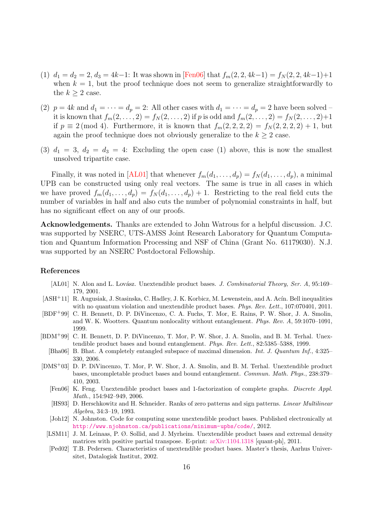- (1)  $d_1 = d_2 = 2, d_3 = 4k-1$ : It was shown in [\[Fen06\]](#page-15-7) that  $f_m(2, 2, 4k-1) = f_N(2, 2, 4k-1)+1$ when  $k = 1$ , but the proof technique does not seem to generalize straightforwardly to the  $k > 2$  case.
- (2)  $p = 4k$  and  $d_1 = \cdots = d_p = 2$ : All other cases with  $d_1 = \cdots = d_p = 2$  have been solved it is known that  $f_m(2, \ldots, 2) = f_N(2, \ldots, 2)$  if p is odd and  $f_m(2, \ldots, 2) = f_N(2, \ldots, 2)+1$ if  $p \equiv 2 \pmod{4}$ . Furthermore, it is known that  $f_m(2, 2, 2, 2) = f_N(2, 2, 2, 2) + 1$ , but again the proof technique does not obviously generalize to the  $k \geq 2$  case.
- (3)  $d_1 = 3$ ,  $d_2 = d_3 = 4$ : Excluding the open case (1) above, this is now the smallest unsolved tripartite case.

Finally, it was noted in [\[AL01\]](#page-15-6) that whenever  $f_m(d_1, \ldots, d_p) = f_N(d_1, \ldots, d_p)$ , a minimal UPB can be constructed using only real vectors. The same is true in all cases in which we have proved  $f_m(d_1,\ldots,d_p) = f_N(d_1,\ldots,d_p) + 1$ . Restricting to the real field cuts the number of variables in half and also cuts the number of polynomial constraints in half, but has no significant effect on any of our proofs.

Acknowledgements. Thanks are extended to John Watrous for a helpful discussion. J.C. was supported by NSERC, UTS-AMSS Joint Research Laboratory for Quantum Computation and Quantum Information Processing and NSF of China (Grant No. 61179030). N.J. was supported by an NSERC Postdoctoral Fellowship.

## References

- <span id="page-15-6"></span>[AL01] N. Alon and L. Lovász. Unextendible product bases. J. Combinatorial Theory, Ser. A, 95:169– 179, 2001.
- <span id="page-15-3"></span>[ASH<sup>+</sup>11] R. Augusiak, J. Stasinska, C. Hadley, J. K. Korbicz, M. Lewenstein, and A. Acín. Bell inequalities with no quantum violation and unextendible product bases. Phys. Rev. Lett.,  $107:070401$ ,  $2011$ .
- <span id="page-15-4"></span>[BDF+99] C. H. Bennett, D. P. DiVincenzo, C. A. Fuchs, T. Mor, E. Rains, P. W. Shor, J. A. Smolin, and W. K. Wootters. Quantum nonlocality without entanglement. Phys. Rev. A, 59:1070–1091, 1999.
- <span id="page-15-5"></span><span id="page-15-0"></span>[BDM+99] C. H. Bennett, D. P. DiVincenzo, T. Mor, P. W. Shor, J. A. Smolin, and B. M. Terhal. Unextendible product bases and bound entanglement. Phys. Rev. Lett., 82:5385–5388, 1999.
	- [Bha06] B. Bhat. A completely entangled subspace of maximal dimension. Int. J. Quantum Inf., 4:325– 330, 2006.
- <span id="page-15-10"></span><span id="page-15-9"></span><span id="page-15-8"></span><span id="page-15-7"></span><span id="page-15-2"></span><span id="page-15-1"></span>[DMS<sup>+</sup>03] D. P. DiVincenzo, T. Mor, P. W. Shor, J. A. Smolin, and B. M. Terhal. Unextendible product bases, uncompletable product bases and bound entanglement. Commun. Math. Phys., 238:379– 410, 2003.
	- [Fen06] K. Feng. Unextendible product bases and 1-factorization of complete graphs. Discrete Appl. Math., 154:942–949, 2006.
	- [HS93] D. Herschkowitz and H. Schneider. Ranks of zero patterns and sign patterns. Linear Multilinear Algebra, 34:3–19, 1993.
	- [Joh12] N. Johnston. Code for computing some unextendible product bases. Published electronically at <http://www.njohnston.ca/publications/minimum-upbs/code/>, 2012.
	- [LSM11] J. M. Leinaas, P. Ø. Sollid, and J. Myrheim. Unextendible product bases and extremal density matrices with positive partial transpose. E-print: [arXiv:1104.1318](http://arxiv.org/abs/1104.1318) [quant-ph], 2011.
	- [Ped02] T.B. Pedersen. Characteristics of unextendible product bases. Master's thesis, Aarhus Universitet, Datalogisk Institut, 2002.